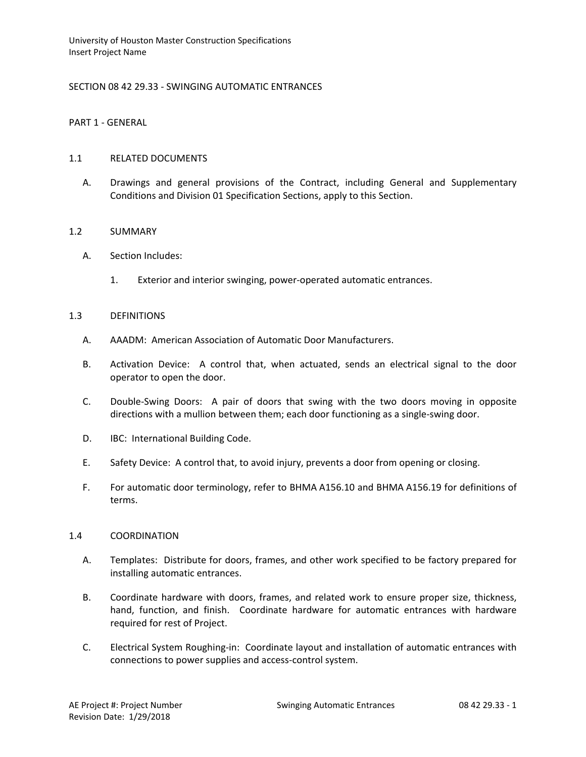# SECTION 08 42 29.33 - SWINGING AUTOMATIC ENTRANCES

PART 1 - GENERAL

### 1.1 RELATED DOCUMENTS

A. Drawings and general provisions of the Contract, including General and Supplementary Conditions and Division 01 Specification Sections, apply to this Section.

## 1.2 SUMMARY

- A. Section Includes:
	- 1. Exterior and interior swinging, power-operated automatic entrances.

### 1.3 DEFINITIONS

- A. AAADM: American Association of Automatic Door Manufacturers.
- B. Activation Device: A control that, when actuated, sends an electrical signal to the door operator to open the door.
- C. Double-Swing Doors: A pair of doors that swing with the two doors moving in opposite directions with a mullion between them; each door functioning as a single-swing door.
- D. IBC: International Building Code.
- E. Safety Device: A control that, to avoid injury, prevents a door from opening or closing.
- F. For automatic door terminology, refer to BHMA A156.10 and BHMA A156.19 for definitions of terms.

### 1.4 COORDINATION

- A. Templates: Distribute for doors, frames, and other work specified to be factory prepared for installing automatic entrances.
- B. Coordinate hardware with doors, frames, and related work to ensure proper size, thickness, hand, function, and finish. Coordinate hardware for automatic entrances with hardware required for rest of Project.
- C. Electrical System Roughing-in: Coordinate layout and installation of automatic entrances with connections to power supplies and access-control system.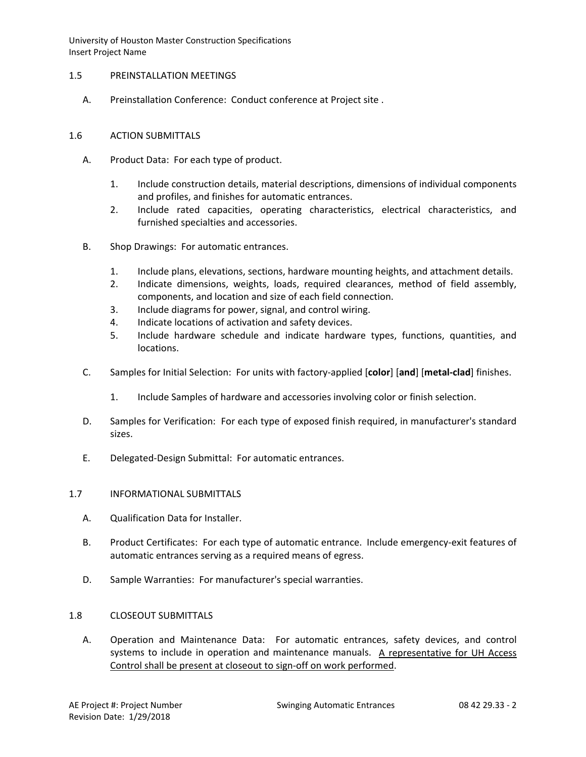## 1.5 PREINSTALLATION MEETINGS

A. Preinstallation Conference: Conduct conference at Project site .

## 1.6 ACTION SUBMITTALS

- A. Product Data: For each type of product.
	- 1. Include construction details, material descriptions, dimensions of individual components and profiles, and finishes for automatic entrances.
	- 2. Include rated capacities, operating characteristics, electrical characteristics, and furnished specialties and accessories.
- B. Shop Drawings: For automatic entrances.
	- 1. Include plans, elevations, sections, hardware mounting heights, and attachment details.
	- 2. Indicate dimensions, weights, loads, required clearances, method of field assembly, components, and location and size of each field connection.
	- 3. Include diagrams for power, signal, and control wiring.
	- 4. Indicate locations of activation and safety devices.
	- 5. Include hardware schedule and indicate hardware types, functions, quantities, and locations.
- C. Samples for Initial Selection: For units with factory-applied [**color**] [**and**] [**metal-clad**] finishes.
	- 1. Include Samples of hardware and accessories involving color or finish selection.
- D. Samples for Verification: For each type of exposed finish required, in manufacturer's standard sizes.
- E. Delegated-Design Submittal: For automatic entrances.

## 1.7 INFORMATIONAL SUBMITTALS

- A. Qualification Data for Installer.
- B. Product Certificates: For each type of automatic entrance. Include emergency-exit features of automatic entrances serving as a required means of egress.
- D. Sample Warranties: For manufacturer's special warranties.

## 1.8 CLOSEOUT SUBMITTALS

A. Operation and Maintenance Data: For automatic entrances, safety devices, and control systems to include in operation and maintenance manuals. A representative for UH Access Control shall be present at closeout to sign-off on work performed.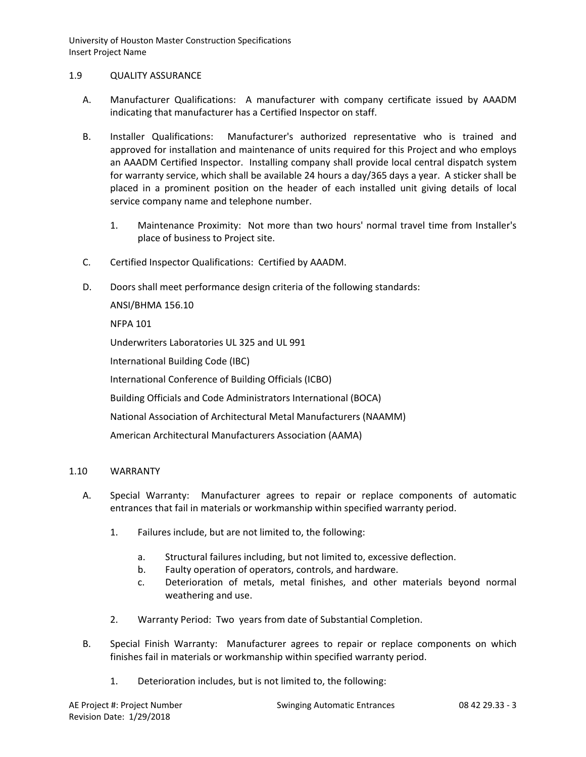## 1.9 QUALITY ASSURANCE

- A. Manufacturer Qualifications: A manufacturer with company certificate issued by AAADM indicating that manufacturer has a Certified Inspector on staff.
- B. Installer Qualifications: Manufacturer's authorized representative who is trained and approved for installation and maintenance of units required for this Project and who employs an AAADM Certified Inspector. Installing company shall provide local central dispatch system for warranty service, which shall be available 24 hours a day/365 days a year. A sticker shall be placed in a prominent position on the header of each installed unit giving details of local service company name and telephone number.
	- 1. Maintenance Proximity: Not more than two hours' normal travel time from Installer's place of business to Project site.
- C. Certified Inspector Qualifications: Certified by AAADM.
- D. Doors shall meet performance design criteria of the following standards:

ANSI/BHMA 156.10

NFPA 101

Underwriters Laboratories UL 325 and UL 991

International Building Code (IBC)

International Conference of Building Officials (ICBO)

Building Officials and Code Administrators International (BOCA)

National Association of Architectural Metal Manufacturers (NAAMM)

American Architectural Manufacturers Association (AAMA)

# 1.10 WARRANTY

- A. Special Warranty: Manufacturer agrees to repair or replace components of automatic entrances that fail in materials or workmanship within specified warranty period.
	- 1. Failures include, but are not limited to, the following:
		- a. Structural failures including, but not limited to, excessive deflection.
		- b. Faulty operation of operators, controls, and hardware.
		- c. Deterioration of metals, metal finishes, and other materials beyond normal weathering and use.
	- 2. Warranty Period: Two years from date of Substantial Completion.
- B. Special Finish Warranty: Manufacturer agrees to repair or replace components on which finishes fail in materials or workmanship within specified warranty period.
	- 1. Deterioration includes, but is not limited to, the following: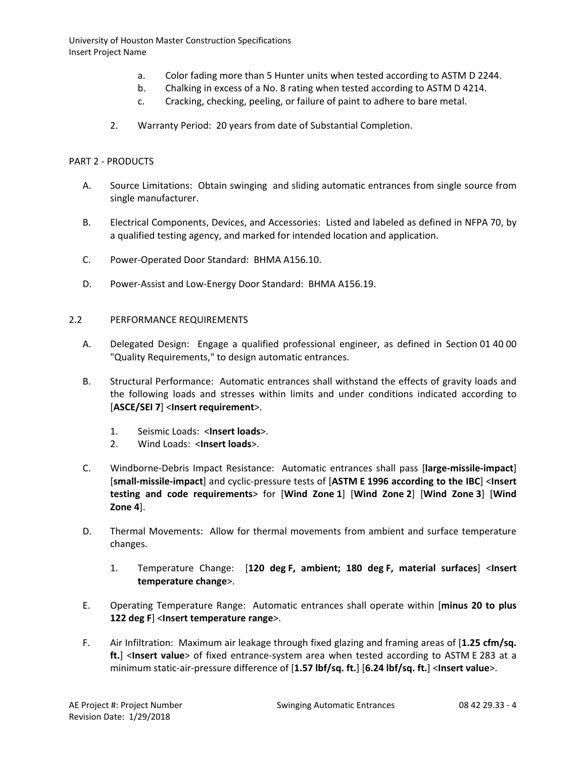- a. Color fading more than 5 Hunter units when tested according to ASTM D 2244.
- b. Chalking in excess of a No. 8 rating when tested according to ASTM D 4214.
- c. Cracking, checking, peeling, or failure of paint to adhere to bare metal.
- 2. Warranty Period: 20 years from date of Substantial Completion.

#### PART 2 - PRODUCTS

- A. Source Limitations: Obtain swinging and sliding automatic entrances from single source from single manufacturer.
- B. Electrical Components, Devices, and Accessories: Listed and labeled as defined in NFPA 70, by a qualified testing agency, and marked for intended location and application.
- C. Power-Operated Door Standard: BHMA A156.10.
- D. Power-Assist and Low-Energy Door Standard: BHMA A156.19.

### 2.2 PERFORMANCE REQUIREMENTS

- A. Delegated Design: Engage a qualified professional engineer, as defined in Section 01 40 00 "Quality Requirements," to design automatic entrances.
- B. Structural Performance: Automatic entrances shall withstand the effects of gravity loads and the following loads and stresses within limits and under conditions indicated according to [**ASCE/SEI 7**] <**Insert requirement**>.
	- 1. Seismic Loads: <**Insert loads**>.
	- 2. Wind Loads: <**Insert loads**>.
- C. Windborne-Debris Impact Resistance: Automatic entrances shall pass [**large-missile-impact**] [**small-missile-impact**] and cyclic-pressure tests of [**ASTM E 1996 according to the IBC**] <**Insert testing and code requirements**> for [**Wind Zone 1**] [**Wind Zone 2**] [**Wind Zone 3**] [**Wind Zone 4**].
- D. Thermal Movements: Allow for thermal movements from ambient and surface temperature changes.
	- 1. Temperature Change: [**120 deg F, ambient; 180 deg F, material surfaces**] <**Insert temperature change**>.
- E. Operating Temperature Range: Automatic entrances shall operate within [**minus 20 to plus 122 deg F**] <**Insert temperature range**>.
- F. Air Infiltration: Maximum air leakage through fixed glazing and framing areas of [**1.25 cfm/sq. ft.**] <**Insert value**> of fixed entrance-system area when tested according to ASTM E 283 at a minimum static-air-pressure difference of [**1.57 lbf/sq. ft.**] [**6.24 lbf/sq. ft.**] <**Insert value**>.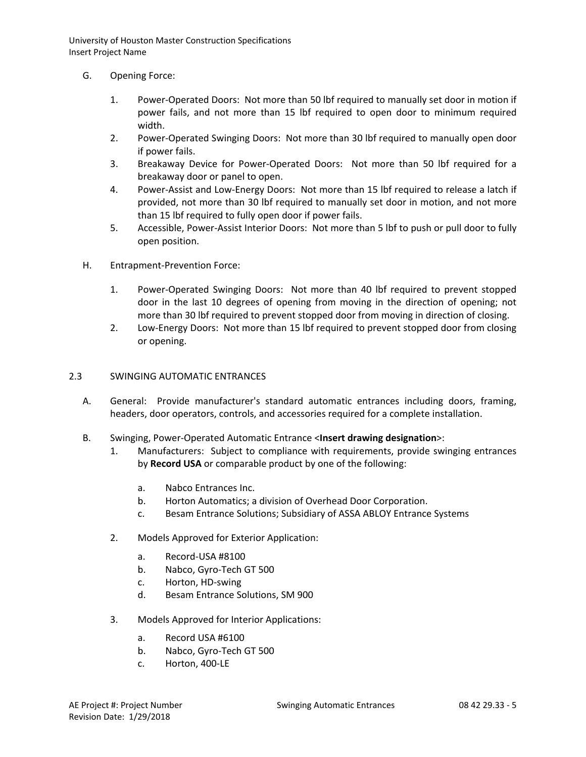- G. Opening Force:
	- 1. Power-Operated Doors: Not more than 50 lbf required to manually set door in motion if power fails, and not more than 15 lbf required to open door to minimum required width.
	- 2. Power-Operated Swinging Doors: Not more than 30 lbf required to manually open door if power fails.
	- 3. Breakaway Device for Power-Operated Doors: Not more than 50 lbf required for a breakaway door or panel to open.
	- 4. Power-Assist and Low-Energy Doors: Not more than 15 lbf required to release a latch if provided, not more than 30 lbf required to manually set door in motion, and not more than 15 lbf required to fully open door if power fails.
	- 5. Accessible, Power-Assist Interior Doors: Not more than 5 lbf to push or pull door to fully open position.
- H. Entrapment-Prevention Force:
	- 1. Power-Operated Swinging Doors: Not more than 40 lbf required to prevent stopped door in the last 10 degrees of opening from moving in the direction of opening; not more than 30 lbf required to prevent stopped door from moving in direction of closing.
	- 2. Low-Energy Doors: Not more than 15 lbf required to prevent stopped door from closing or opening.

## 2.3 SWINGING AUTOMATIC ENTRANCES

- A. General: Provide manufacturer's standard automatic entrances including doors, framing, headers, door operators, controls, and accessories required for a complete installation.
- B. Swinging, Power-Operated Automatic Entrance <**Insert drawing designation**>:
	- 1. Manufacturers: Subject to compliance with requirements, provide swinging entrances by **Record USA** or comparable product by one of the following:
		- a. [Nabco Entrances Inc.](http://www.specagent.com/LookUp/?uid=123456837253&mf=04&src=wd)
		- b. [Horton Automatics; a division of Overhead Door Corporation.](http://www.specagent.com/LookUp/?uid=123456837252&mf=04&src=wd)
		- c. [Besam Entrance Solutions; Subsidiary of ASSA ABLOY Entrance Systems](http://www.specagent.com/LookUp/?uid=123456837250&mf=04&src=wd)
	- 2. Models Approved for Exterior Application:
		- a. Record-USA #8100
		- b. Nabco, Gyro-Tech GT 500
		- c. Horton, HD-swing
		- d. Besam Entrance Solutions, SM 900
	- 3. Models Approved for Interior Applications:
		- a. Record USA #6100
		- b. Nabco, Gyro-Tech GT 500
		- c. Horton, 400-LE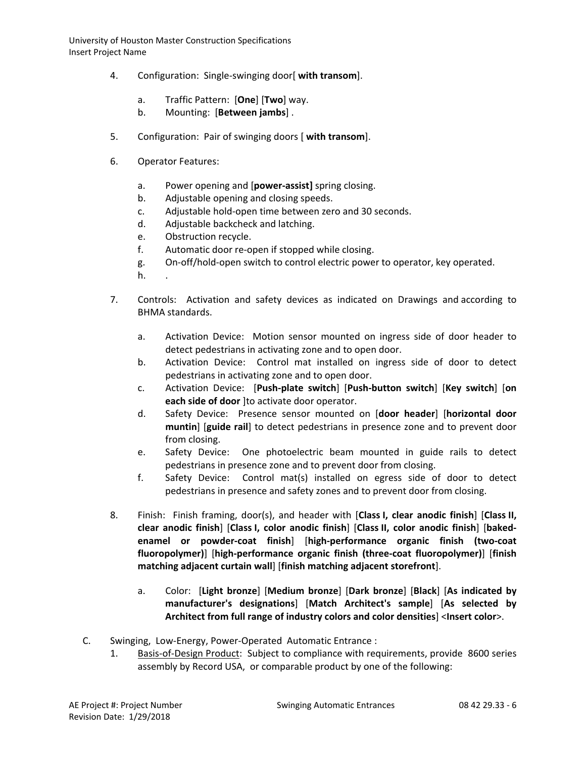- 4. Configuration: Single-swinging door[ **with transom**].
	- a. Traffic Pattern: [**One**] [**Two**] way.
	- b. Mounting: [**Between jambs**] .
- 5. Configuration: Pair of swinging doors [ **with transom**].
- 6. Operator Features:
	- a. Power opening and [**power-assist]** spring closing.
	- b. Adjustable opening and closing speeds.
	- c. Adjustable hold-open time between zero and 30 seconds.
	- d. Adjustable backcheck and latching.
	- e. Obstruction recycle.
	- f. Automatic door re-open if stopped while closing.
	- g. On-off/hold-open switch to control electric power to operator, key operated.
	- $h_{\cdot}$
- 7. Controls: Activation and safety devices as indicated on Drawings and according to BHMA standards.
	- a. Activation Device: Motion sensor mounted on ingress side of door header to detect pedestrians in activating zone and to open door.
	- b. Activation Device: Control mat installed on ingress side of door to detect pedestrians in activating zone and to open door.
	- c. Activation Device: [**Push-plate switch**] [**Push-button switch**] [**Key switch**] [**on each side of door** ]to activate door operator.
	- d. Safety Device: Presence sensor mounted on [**door header**] [**horizontal door muntin**] [**guide rail**] to detect pedestrians in presence zone and to prevent door from closing.
	- e. Safety Device: One photoelectric beam mounted in guide rails to detect pedestrians in presence zone and to prevent door from closing.
	- f. Safety Device: Control mat(s) installed on egress side of door to detect pedestrians in presence and safety zones and to prevent door from closing.
- 8. Finish: Finish framing, door(s), and header with [**Class I, clear anodic finish**] [**Class II, clear anodic finish**] [**Class I, color anodic finish**] [**Class II, color anodic finish**] [**bakedenamel or powder-coat finish**] [**high-performance organic finish (two-coat fluoropolymer)**] [**high-performance organic finish (three-coat fluoropolymer)**] [**finish matching adjacent curtain wall**] [**finish matching adjacent storefront**].
	- a. Color: [**Light bronze**] [**Medium bronze**] [**Dark bronze**] [**Black**] [**As indicated by manufacturer's designations**] [**Match Architect's sample**] [**As selected by Architect from full range of industry colors and color densities**] <**Insert color**>.
- C. Swinging, Low-Energy, Power-Operated Automatic Entrance :
	- 1. [Basis-of-Design Product:](http://www.specagent.com/LookUp/?ulid=6986&mf=04&src=wd) Subject to compliance with requirements, provide 8600 series assembly by Record USA, or comparable product by one of the following: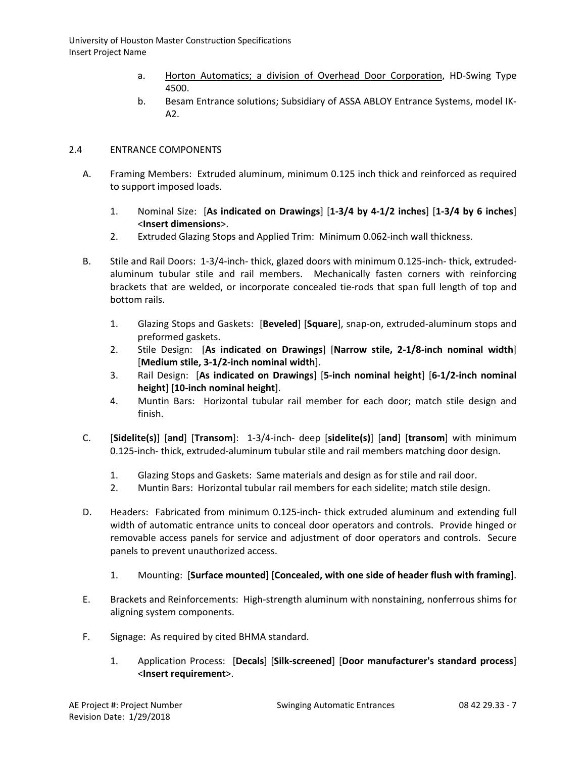- a. [Horton Automatics; a division of Overhead Door Corporation,](http://www.specagent.com/LookUp/?uid=123456837257&mf=04&src=wd) HD-Swing Type 4500.
- b. Besam Entrance solutions; Subsidiary of ASSA ABLOY Entrance Systems, model IK-A2.

# 2.4 ENTRANCE COMPONENTS

- A. Framing Members: Extruded aluminum, minimum 0.125 inch thick and reinforced as required to support imposed loads.
	- 1. Nominal Size: [**As indicated on Drawings**] [**1-3/4 by 4-1/2 inches**] [**1-3/4 by 6 inches**] <**Insert dimensions**>.
	- 2. Extruded Glazing Stops and Applied Trim: Minimum 0.062-inch wall thickness.
- B. Stile and Rail Doors: 1-3/4-inch- thick, glazed doors with minimum 0.125-inch- thick, extrudedaluminum tubular stile and rail members. Mechanically fasten corners with reinforcing brackets that are welded, or incorporate concealed tie-rods that span full length of top and bottom rails.
	- 1. Glazing Stops and Gaskets: [**Beveled**] [**Square**], snap-on, extruded-aluminum stops and preformed gaskets.
	- 2. Stile Design: [**As indicated on Drawings**] [**Narrow stile, 2-1/8-inch nominal width**] [**Medium stile, 3-1/2-inch nominal width**].
	- 3. Rail Design: [**As indicated on Drawings**] [**5-inch nominal height**] [**6-1/2-inch nominal height**] [**10-inch nominal height**].
	- 4. Muntin Bars: Horizontal tubular rail member for each door; match stile design and finish.
- C. [**Sidelite(s)**] [**and**] [**Transom**]: 1-3/4-inch- deep [**sidelite(s)**] [**and**] [**transom**] with minimum 0.125-inch- thick, extruded-aluminum tubular stile and rail members matching door design.
	- 1. Glazing Stops and Gaskets: Same materials and design as for stile and rail door.
	- 2. Muntin Bars: Horizontal tubular rail members for each sidelite; match stile design.
- D. Headers: Fabricated from minimum 0.125-inch- thick extruded aluminum and extending full width of automatic entrance units to conceal door operators and controls. Provide hinged or removable access panels for service and adjustment of door operators and controls. Secure panels to prevent unauthorized access.
	- 1. Mounting: [**Surface mounted**] [**Concealed, with one side of header flush with framing**].
- E. Brackets and Reinforcements: High-strength aluminum with nonstaining, nonferrous shims for aligning system components.
- F. Signage: As required by cited BHMA standard.
	- 1. Application Process: [**Decals**] [**Silk-screened**] [**Door manufacturer's standard process**] <**Insert requirement**>.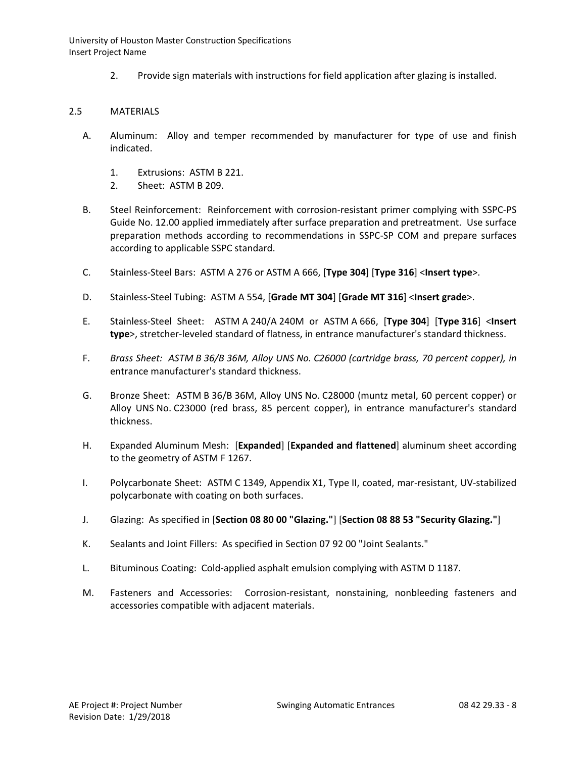2. Provide sign materials with instructions for field application after glazing is installed.

# 2.5 MATERIALS

- A. Aluminum: Alloy and temper recommended by manufacturer for type of use and finish indicated.
	- 1. Extrusions: ASTM B 221.
	- 2. Sheet: ASTM B 209.
- B. Steel Reinforcement: Reinforcement with corrosion-resistant primer complying with SSPC-PS Guide No. 12.00 applied immediately after surface preparation and pretreatment. Use surface preparation methods according to recommendations in SSPC-SP COM and prepare surfaces according to applicable SSPC standard.
- C. Stainless-Steel Bars: ASTM A 276 or ASTM A 666, [**Type 304**] [**Type 316**] <**Insert type**>.
- D. Stainless-Steel Tubing: ASTM A 554, [**Grade MT 304**] [**Grade MT 316**] <**Insert grade**>.
- E. Stainless-Steel Sheet: ASTM A 240/A 240M or ASTM A 666, [**Type 304**] [**Type 316**] <**Insert type**>, stretcher-leveled standard of flatness, in entrance manufacturer's standard thickness.
- F. *Brass Sheet: ASTM B 36/B 36M, Alloy UNS No. C26000 (cartridge brass, 70 percent copper), in* entrance manufacturer's standard thickness.
- G. Bronze Sheet: ASTM B 36/B 36M, Alloy UNS No. C28000 (muntz metal, 60 percent copper) or Alloy UNS No. C23000 (red brass, 85 percent copper), in entrance manufacturer's standard thickness.
- H. Expanded Aluminum Mesh: [**Expanded**] [**Expanded and flattened**] aluminum sheet according to the geometry of ASTM F 1267.
- I. Polycarbonate Sheet: ASTM C 1349, Appendix X1, Type II, coated, mar-resistant, UV-stabilized polycarbonate with coating on both surfaces.
- J. Glazing: As specified in [**Section 08 80 00 "Glazing."**] [**Section 08 88 53 "Security Glazing."**]
- K. Sealants and Joint Fillers: As specified in Section 07 92 00 "Joint Sealants."
- L. Bituminous Coating: Cold-applied asphalt emulsion complying with ASTM D 1187.
- M. Fasteners and Accessories: Corrosion-resistant, nonstaining, nonbleeding fasteners and accessories compatible with adjacent materials.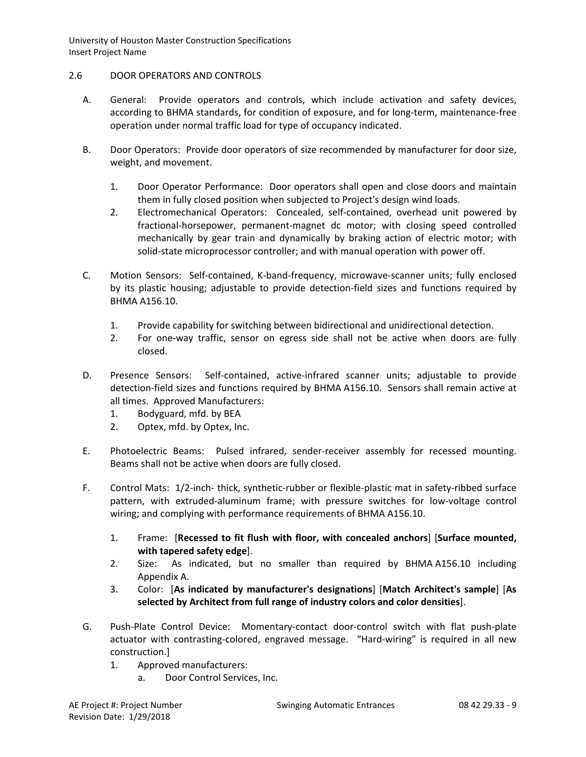# 2.6 DOOR OPERATORS AND CONTROLS

- A. General: Provide operators and controls, which include activation and safety devices, according to BHMA standards, for condition of exposure, and for long-term, maintenance-free operation under normal traffic load for type of occupancy indicated.
- B. Door Operators: Provide door operators of size recommended by manufacturer for door size, weight, and movement.
	- 1. Door Operator Performance: Door operators shall open and close doors and maintain them in fully closed position when subjected to Project's design wind loads.
	- 2. Electromechanical Operators: Concealed, self-contained, overhead unit powered by fractional-horsepower, permanent-magnet dc motor; with closing speed controlled mechanically by gear train and dynamically by braking action of electric motor; with solid-state microprocessor controller; and with manual operation with power off.
- C. Motion Sensors: Self-contained, K-band-frequency, microwave-scanner units; fully enclosed by its plastic housing; adjustable to provide detection-field sizes and functions required by BHMA A156.10.
	- 1. Provide capability for switching between bidirectional and unidirectional detection.
	- 2. For one-way traffic, sensor on egress side shall not be active when doors are fully closed.
- D. Presence Sensors: Self-contained, active-infrared scanner units; adjustable to provide detection-field sizes and functions required by BHMA A156.10. Sensors shall remain active at all times. Approved Manufacturers:
	- 1. Bodyguard, mfd. by BEA
	- 2. Optex, mfd. by Optex, Inc.
- E. Photoelectric Beams: Pulsed infrared, sender-receiver assembly for recessed mounting. Beams shall not be active when doors are fully closed.
- F. Control Mats: 1/2-inch- thick, synthetic-rubber or flexible-plastic mat in safety-ribbed surface pattern, with extruded-aluminum frame; with pressure switches for low-voltage control wiring; and complying with performance requirements of BHMA A156.10.
	- 1. Frame: [**Recessed to fit flush with floor, with concealed anchors**] [**Surface mounted, with tapered safety edge**].
	- 2. Size: As indicated, but no smaller than required by BHMA A156.10 including Appendix A.
	- 3. Color: [**As indicated by manufacturer's designations**] [**Match Architect's sample**] [**As selected by Architect from full range of industry colors and color densities**].
- G. Push-Plate Control Device: Momentary-contact door-control switch with flat push-plate actuator with contrasting-colored, engraved message. "Hard-wiring" is required in all new construction.]
	- 1. Approved manufacturers:
		- a. Door Control Services, Inc.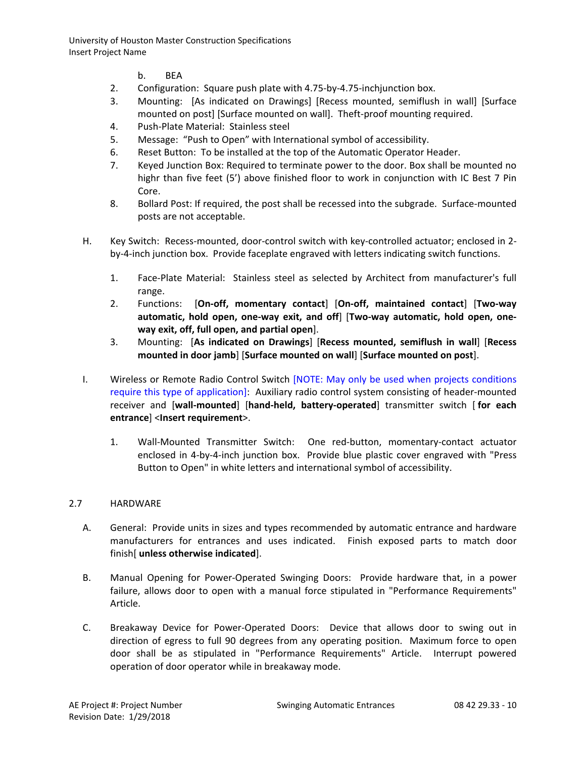- b. BEA
- 2. Configuration: Square push plate with 4.75-by-4.75-inchjunction box.
- 3. Mounting: [As indicated on Drawings] [Recess mounted, semiflush in wall] [Surface mounted on post] [Surface mounted on wall]. Theft-proof mounting required.
- 4. Push-Plate Material: Stainless steel
- 5. Message: "Push to Open" with International symbol of accessibility.
- 6. Reset Button: To be installed at the top of the Automatic Operator Header.
- 7. Keyed Junction Box: Required to terminate power to the door. Box shall be mounted no highr than five feet (5') above finished floor to work in conjunction with IC Best 7 Pin Core.
- 8. Bollard Post: If required, the post shall be recessed into the subgrade. Surface-mounted posts are not acceptable.
- H. Key Switch: Recess-mounted, door-control switch with key-controlled actuator; enclosed in 2 by-4-inch junction box. Provide faceplate engraved with letters indicating switch functions.
	- 1. Face-Plate Material: Stainless steel as selected by Architect from manufacturer's full range.
	- 2. Functions: [**On-off, momentary contact**] [**On-off, maintained contact**] [**Two-way automatic, hold open, one-way exit, and off**] [**Two-way automatic, hold open, oneway exit, off, full open, and partial open**].
	- 3. Mounting: [**As indicated on Drawings**] [**Recess mounted, semiflush in wall**] [**Recess mounted in door jamb**] [**Surface mounted on wall**] [**Surface mounted on post**].
- I. Wireless or Remote Radio Control Switch [NOTE: May only be used when projects conditions require this type of application]: Auxiliary radio control system consisting of header-mounted receiver and [**wall-mounted**] [**hand-held, battery-operated**] transmitter switch [ **for each entrance**] <**Insert requirement**>.
	- 1. Wall-Mounted Transmitter Switch: One red-button, momentary-contact actuator enclosed in 4-by-4-inch junction box. Provide blue plastic cover engraved with "Press Button to Open" in white letters and international symbol of accessibility.

# 2.7 HARDWARE

- A. General: Provide units in sizes and types recommended by automatic entrance and hardware manufacturers for entrances and uses indicated. Finish exposed parts to match door finish[ **unless otherwise indicated**].
- B. Manual Opening for Power-Operated Swinging Doors: Provide hardware that, in a power failure, allows door to open with a manual force stipulated in "Performance Requirements" Article.
- C. Breakaway Device for Power-Operated Doors: Device that allows door to swing out in direction of egress to full 90 degrees from any operating position. Maximum force to open door shall be as stipulated in "Performance Requirements" Article. Interrupt powered operation of door operator while in breakaway mode.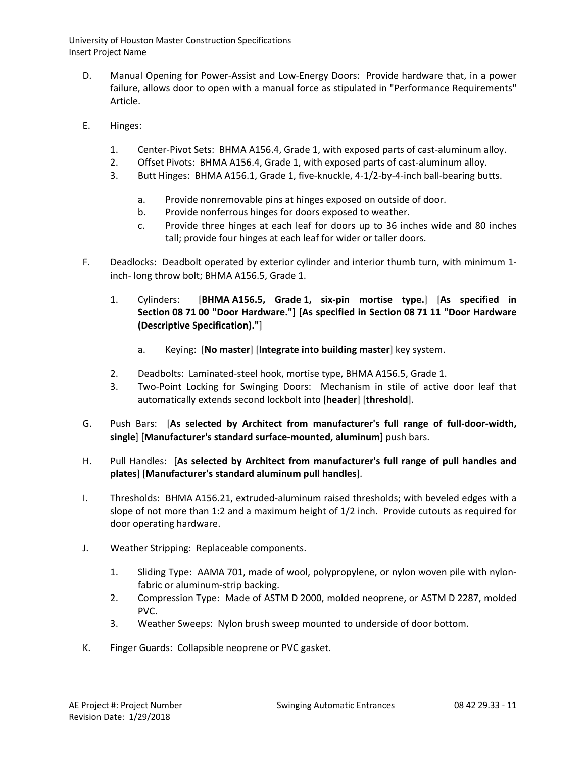- D. Manual Opening for Power-Assist and Low-Energy Doors: Provide hardware that, in a power failure, allows door to open with a manual force as stipulated in "Performance Requirements" Article.
- E. Hinges:
	- 1. Center-Pivot Sets: BHMA A156.4, Grade 1, with exposed parts of cast-aluminum alloy.
	- 2. Offset Pivots: BHMA A156.4, Grade 1, with exposed parts of cast-aluminum alloy.
	- 3. Butt Hinges: BHMA A156.1, Grade 1, five-knuckle, 4-1/2-by-4-inch ball-bearing butts.
		- a. Provide nonremovable pins at hinges exposed on outside of door.
		- b. Provide nonferrous hinges for doors exposed to weather.
		- c. Provide three hinges at each leaf for doors up to 36 inches wide and 80 inches tall; provide four hinges at each leaf for wider or taller doors.
- F. Deadlocks: Deadbolt operated by exterior cylinder and interior thumb turn, with minimum 1 inch- long throw bolt; BHMA A156.5, Grade 1.
	- 1. Cylinders: [**BHMA A156.5, Grade 1, six-pin mortise type.**] [**As specified in Section 08 71 00 "Door Hardware."**] [**As specified in Section 08 71 11 "Door Hardware (Descriptive Specification)."**]
		- a. Keying: [**No master**] [**Integrate into building master**] key system.
	- 2. Deadbolts: Laminated-steel hook, mortise type, BHMA A156.5, Grade 1.
	- 3. Two-Point Locking for Swinging Doors: Mechanism in stile of active door leaf that automatically extends second lockbolt into [**header**] [**threshold**].
- G. Push Bars: [**As selected by Architect from manufacturer's full range of full-door-width, single**] [**Manufacturer's standard surface-mounted, aluminum**] push bars.
- H. Pull Handles: [**As selected by Architect from manufacturer's full range of pull handles and plates**] [**Manufacturer's standard aluminum pull handles**].
- I. Thresholds: BHMA A156.21, extruded-aluminum raised thresholds; with beveled edges with a slope of not more than 1:2 and a maximum height of 1/2 inch. Provide cutouts as required for door operating hardware.
- J. Weather Stripping: Replaceable components.
	- 1. Sliding Type: AAMA 701, made of wool, polypropylene, or nylon woven pile with nylonfabric or aluminum-strip backing.
	- 2. Compression Type: Made of ASTM D 2000, molded neoprene, or ASTM D 2287, molded PVC.
	- 3. Weather Sweeps: Nylon brush sweep mounted to underside of door bottom.
- K. Finger Guards: Collapsible neoprene or PVC gasket.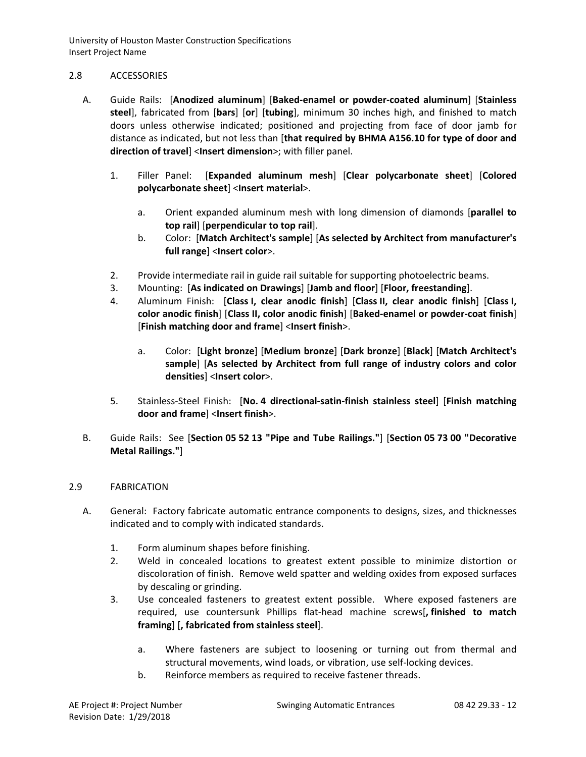## 2.8 ACCESSORIES

- A. Guide Rails: [**Anodized aluminum**] [**Baked-enamel or powder-coated aluminum**] [**Stainless steel**], fabricated from [**bars**] [**or**] [**tubing**], minimum 30 inches high, and finished to match doors unless otherwise indicated; positioned and projecting from face of door jamb for distance as indicated, but not less than [**that required by BHMA A156.10 for type of door and direction of travel**] <**Insert dimension**>; with filler panel.
	- 1. Filler Panel: [**Expanded aluminum mesh**] [**Clear polycarbonate sheet**] [**Colored polycarbonate sheet**] <**Insert material**>.
		- a. Orient expanded aluminum mesh with long dimension of diamonds [**parallel to top rail**] [**perpendicular to top rail**].
		- b. Color: [**Match Architect's sample**] [**As selected by Architect from manufacturer's full range**] <**Insert color**>.
	- 2. Provide intermediate rail in guide rail suitable for supporting photoelectric beams.
	- 3. Mounting: [**As indicated on Drawings**] [**Jamb and floor**] [**Floor, freestanding**].
	- 4. Aluminum Finish: [**Class I, clear anodic finish**] [**Class II, clear anodic finish**] [**Class I, color anodic finish**] [**Class II, color anodic finish**] [**Baked-enamel or powder-coat finish**] [**Finish matching door and frame**] <**Insert finish**>.
		- a. Color: [**Light bronze**] [**Medium bronze**] [**Dark bronze**] [**Black**] [**Match Architect's sample**] [**As selected by Architect from full range of industry colors and color densities**] <**Insert color**>.
	- 5. Stainless-Steel Finish: [**No. 4 directional-satin-finish stainless steel**] [**Finish matching door and frame**] <**Insert finish**>.
- B. Guide Rails: See [**Section 05 52 13 "Pipe and Tube Railings."**] [**Section 05 73 00 "Decorative Metal Railings."**]

# 2.9 FABRICATION

- A. General: Factory fabricate automatic entrance components to designs, sizes, and thicknesses indicated and to comply with indicated standards.
	- 1. Form aluminum shapes before finishing.
	- 2. Weld in concealed locations to greatest extent possible to minimize distortion or discoloration of finish. Remove weld spatter and welding oxides from exposed surfaces by descaling or grinding.
	- 3. Use concealed fasteners to greatest extent possible. Where exposed fasteners are required, use countersunk Phillips flat-head machine screws[**, finished to match framing**] [**, fabricated from stainless steel**].
		- a. Where fasteners are subject to loosening or turning out from thermal and structural movements, wind loads, or vibration, use self-locking devices.
		- b. Reinforce members as required to receive fastener threads.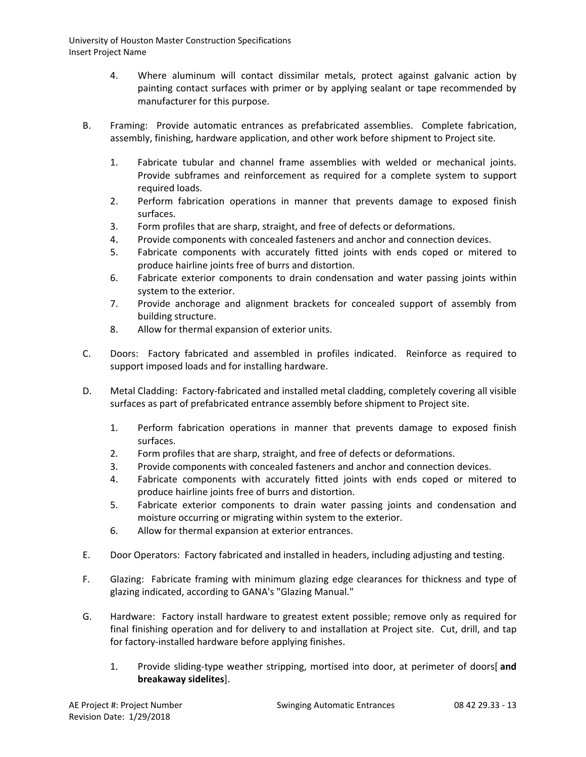- 4. Where aluminum will contact dissimilar metals, protect against galvanic action by painting contact surfaces with primer or by applying sealant or tape recommended by manufacturer for this purpose.
- B. Framing: Provide automatic entrances as prefabricated assemblies. Complete fabrication, assembly, finishing, hardware application, and other work before shipment to Project site.
	- 1. Fabricate tubular and channel frame assemblies with welded or mechanical joints. Provide subframes and reinforcement as required for a complete system to support required loads.
	- 2. Perform fabrication operations in manner that prevents damage to exposed finish surfaces.
	- 3. Form profiles that are sharp, straight, and free of defects or deformations.
	- 4. Provide components with concealed fasteners and anchor and connection devices.
	- 5. Fabricate components with accurately fitted joints with ends coped or mitered to produce hairline joints free of burrs and distortion.
	- 6. Fabricate exterior components to drain condensation and water passing joints within system to the exterior.
	- 7. Provide anchorage and alignment brackets for concealed support of assembly from building structure.
	- 8. Allow for thermal expansion of exterior units.
- C. Doors: Factory fabricated and assembled in profiles indicated. Reinforce as required to support imposed loads and for installing hardware.
- D. Metal Cladding: Factory-fabricated and installed metal cladding, completely covering all visible surfaces as part of prefabricated entrance assembly before shipment to Project site.
	- 1. Perform fabrication operations in manner that prevents damage to exposed finish surfaces.
	- 2. Form profiles that are sharp, straight, and free of defects or deformations.
	- 3. Provide components with concealed fasteners and anchor and connection devices.
	- 4. Fabricate components with accurately fitted joints with ends coped or mitered to produce hairline joints free of burrs and distortion.
	- 5. Fabricate exterior components to drain water passing joints and condensation and moisture occurring or migrating within system to the exterior.
	- 6. Allow for thermal expansion at exterior entrances.
- E. Door Operators: Factory fabricated and installed in headers, including adjusting and testing.
- F. Glazing: Fabricate framing with minimum glazing edge clearances for thickness and type of glazing indicated, according to GANA's "Glazing Manual."
- G. Hardware: Factory install hardware to greatest extent possible; remove only as required for final finishing operation and for delivery to and installation at Project site. Cut, drill, and tap for factory-installed hardware before applying finishes.
	- 1. Provide sliding-type weather stripping, mortised into door, at perimeter of doors[ **and breakaway sidelites**].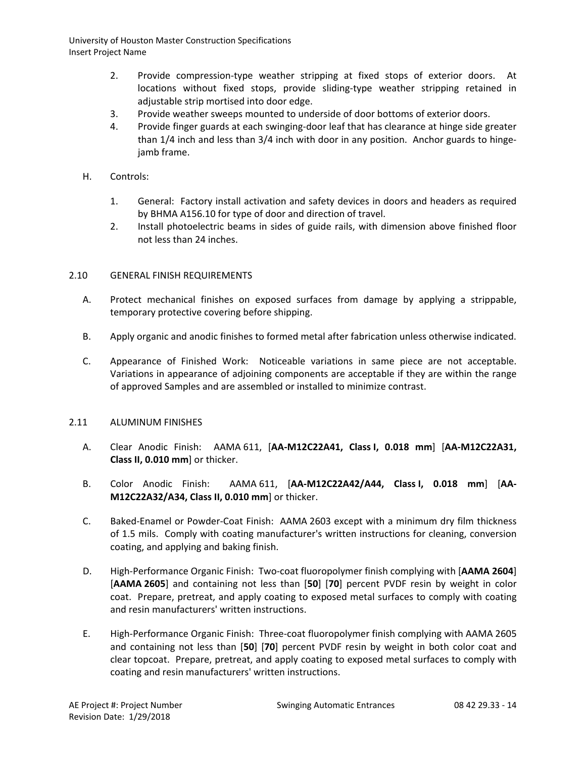- 2. Provide compression-type weather stripping at fixed stops of exterior doors. At locations without fixed stops, provide sliding-type weather stripping retained in adjustable strip mortised into door edge.
- 3. Provide weather sweeps mounted to underside of door bottoms of exterior doors.
- 4. Provide finger guards at each swinging-door leaf that has clearance at hinge side greater than 1/4 inch and less than 3/4 inch with door in any position. Anchor guards to hingejamb frame.
- H. Controls:
	- 1. General: Factory install activation and safety devices in doors and headers as required by BHMA A156.10 for type of door and direction of travel.
	- 2. Install photoelectric beams in sides of guide rails, with dimension above finished floor not less than 24 inches.

# 2.10 GENERAL FINISH REQUIREMENTS

- A. Protect mechanical finishes on exposed surfaces from damage by applying a strippable, temporary protective covering before shipping.
- B. Apply organic and anodic finishes to formed metal after fabrication unless otherwise indicated.
- C. Appearance of Finished Work: Noticeable variations in same piece are not acceptable. Variations in appearance of adjoining components are acceptable if they are within the range of approved Samples and are assembled or installed to minimize contrast.

# 2.11 ALUMINUM FINISHES

- A. Clear Anodic Finish: AAMA 611, [**AA-M12C22A41, Class I, 0.018 mm**] [**AA-M12C22A31, Class II, 0.010 mm**] or thicker.
- B. Color Anodic Finish: AAMA 611, [**AA-M12C22A42/A44, Class I, 0.018 mm**] [**AA-M12C22A32/A34, Class II, 0.010 mm**] or thicker.
- C. Baked-Enamel or Powder-Coat Finish: AAMA 2603 except with a minimum dry film thickness of 1.5 mils. Comply with coating manufacturer's written instructions for cleaning, conversion coating, and applying and baking finish.
- D. High-Performance Organic Finish: Two-coat fluoropolymer finish complying with [**AAMA 2604**] [**AAMA 2605**] and containing not less than [**50**] [**70**] percent PVDF resin by weight in color coat. Prepare, pretreat, and apply coating to exposed metal surfaces to comply with coating and resin manufacturers' written instructions.
- E. High-Performance Organic Finish: Three-coat fluoropolymer finish complying with AAMA 2605 and containing not less than [**50**] [**70**] percent PVDF resin by weight in both color coat and clear topcoat. Prepare, pretreat, and apply coating to exposed metal surfaces to comply with coating and resin manufacturers' written instructions.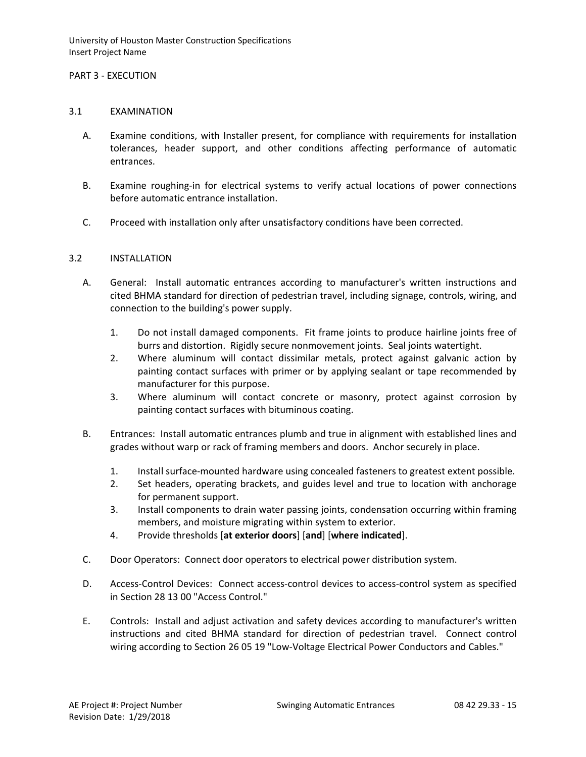## PART 3 - EXECUTION

### 3.1 EXAMINATION

- A. Examine conditions, with Installer present, for compliance with requirements for installation tolerances, header support, and other conditions affecting performance of automatic entrances.
- B. Examine roughing-in for electrical systems to verify actual locations of power connections before automatic entrance installation.
- C. Proceed with installation only after unsatisfactory conditions have been corrected.

# 3.2 INSTALLATION

- A. General: Install automatic entrances according to manufacturer's written instructions and cited BHMA standard for direction of pedestrian travel, including signage, controls, wiring, and connection to the building's power supply.
	- 1. Do not install damaged components. Fit frame joints to produce hairline joints free of burrs and distortion. Rigidly secure nonmovement joints. Seal joints watertight.
	- 2. Where aluminum will contact dissimilar metals, protect against galvanic action by painting contact surfaces with primer or by applying sealant or tape recommended by manufacturer for this purpose.
	- 3. Where aluminum will contact concrete or masonry, protect against corrosion by painting contact surfaces with bituminous coating.
- B. Entrances: Install automatic entrances plumb and true in alignment with established lines and grades without warp or rack of framing members and doors. Anchor securely in place.
	- 1. Install surface-mounted hardware using concealed fasteners to greatest extent possible.
	- 2. Set headers, operating brackets, and guides level and true to location with anchorage for permanent support.
	- 3. Install components to drain water passing joints, condensation occurring within framing members, and moisture migrating within system to exterior.
	- 4. Provide thresholds [**at exterior doors**] [**and**] [**where indicated**].
- C. Door Operators: Connect door operators to electrical power distribution system.
- D. Access-Control Devices: Connect access-control devices to access-control system as specified in Section 28 13 00 "Access Control."
- E. Controls: Install and adjust activation and safety devices according to manufacturer's written instructions and cited BHMA standard for direction of pedestrian travel. Connect control wiring according to Section 26 05 19 "Low-Voltage Electrical Power Conductors and Cables."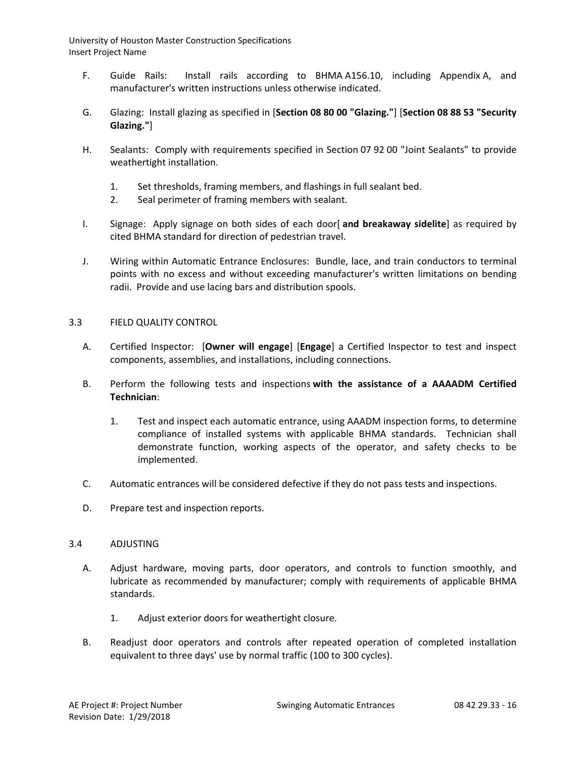- F. Guide Rails: Install rails according to BHMA A156.10, including Appendix A, and manufacturer's written instructions unless otherwise indicated.
- G. Glazing: Install glazing as specified in [**Section 08 80 00 "Glazing."**] [**Section 08 88 53 "Security Glazing."**]
- H. Sealants: Comply with requirements specified in Section 07 92 00 "Joint Sealants" to provide weathertight installation.
	- 1. Set thresholds, framing members, and flashings in full sealant bed.
	- 2. Seal perimeter of framing members with sealant.
- I. Signage: Apply signage on both sides of each door[ **and breakaway sidelite**] as required by cited BHMA standard for direction of pedestrian travel.
- J. Wiring within Automatic Entrance Enclosures: Bundle, lace, and train conductors to terminal points with no excess and without exceeding manufacturer's written limitations on bending radii. Provide and use lacing bars and distribution spools.

# 3.3 FIELD QUALITY CONTROL

- A. Certified Inspector: [**Owner will engage**] [**Engage**] a Certified Inspector to test and inspect components, assemblies, and installations, including connections.
- B. Perform the following tests and inspections **with the assistance of a AAAADM Certified Technician**:
	- 1. Test and inspect each automatic entrance, using AAADM inspection forms, to determine compliance of installed systems with applicable BHMA standards. Technician shall demonstrate function, working aspects of the operator, and safety checks to be implemented.
- C. Automatic entrances will be considered defective if they do not pass tests and inspections.
- D. Prepare test and inspection reports.

### 3.4 ADJUSTING

- A. Adjust hardware, moving parts, door operators, and controls to function smoothly, and lubricate as recommended by manufacturer; comply with requirements of applicable BHMA standards.
	- 1. Adjust exterior doors for weathertight closure.
- B. Readjust door operators and controls after repeated operation of completed installation equivalent to three days' use by normal traffic (100 to 300 cycles).